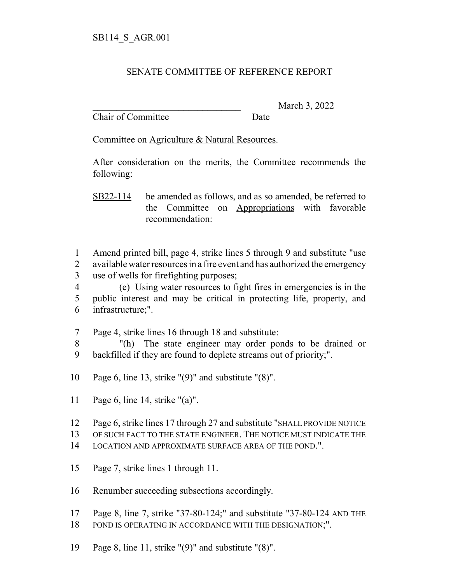## SENATE COMMITTEE OF REFERENCE REPORT

Chair of Committee Date

March 3, 2022

Committee on Agriculture & Natural Resources.

After consideration on the merits, the Committee recommends the following:

SB22-114 be amended as follows, and as so amended, be referred to the Committee on Appropriations with favorable recommendation:

1 Amend printed bill, page 4, strike lines 5 through 9 and substitute "use 2 available water resources in a fire event and has authorized the emergency 3 use of wells for firefighting purposes;

4 (e) Using water resources to fight fires in emergencies is in the 5 public interest and may be critical in protecting life, property, and 6 infrastructure;".

7 Page 4, strike lines 16 through 18 and substitute:

8 "(h) The state engineer may order ponds to be drained or 9 backfilled if they are found to deplete streams out of priority;".

10 Page 6, line 13, strike "(9)" and substitute "(8)".

11 Page 6, line 14, strike "(a)".

12 Page 6, strike lines 17 through 27 and substitute "SHALL PROVIDE NOTICE

13 OF SUCH FACT TO THE STATE ENGINEER. THE NOTICE MUST INDICATE THE

14 LOCATION AND APPROXIMATE SURFACE AREA OF THE POND.".

15 Page 7, strike lines 1 through 11.

16 Renumber succeeding subsections accordingly.

17 Page 8, line 7, strike "37-80-124;" and substitute "37-80-124 AND THE

- 18 POND IS OPERATING IN ACCORDANCE WITH THE DESIGNATION;".
- 19 Page 8, line 11, strike "(9)" and substitute "(8)".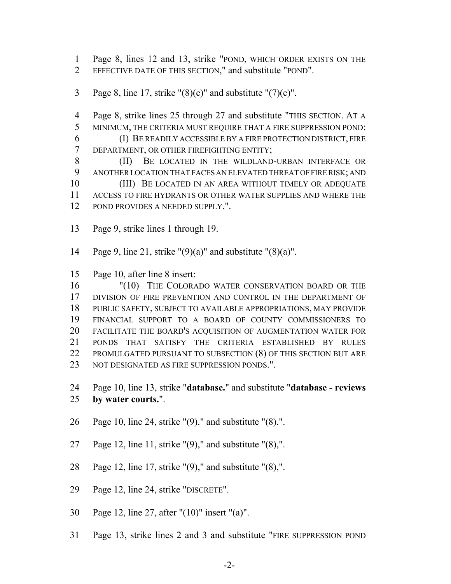Page 8, lines 12 and 13, strike "POND, WHICH ORDER EXISTS ON THE EFFECTIVE DATE OF THIS SECTION," and substitute "POND".

3 Page 8, line 17, strike " $(8)(c)$ " and substitute " $(7)(c)$ ".

 Page 8, strike lines 25 through 27 and substitute "THIS SECTION. AT A MINIMUM, THE CRITERIA MUST REQUIRE THAT A FIRE SUPPRESSION POND:

 (I) BE READILY ACCESSIBLE BY A FIRE PROTECTION DISTRICT, FIRE DEPARTMENT, OR OTHER FIREFIGHTING ENTITY;

 (II) BE LOCATED IN THE WILDLAND-URBAN INTERFACE OR ANOTHER LOCATION THAT FACES AN ELEVATED THREAT OF FIRE RISK; AND 10 (III) BE LOCATED IN AN AREA WITHOUT TIMELY OR ADEQUATE ACCESS TO FIRE HYDRANTS OR OTHER WATER SUPPLIES AND WHERE THE POND PROVIDES A NEEDED SUPPLY.".

- Page 9, strike lines 1 through 19.
- 14 Page 9, line 21, strike  $"(9)(a)"$  and substitute  $"(8)(a)"$ .

Page 10, after line 8 insert:

16 "(10) THE COLORADO WATER CONSERVATION BOARD OR THE DIVISION OF FIRE PREVENTION AND CONTROL IN THE DEPARTMENT OF PUBLIC SAFETY, SUBJECT TO AVAILABLE APPROPRIATIONS, MAY PROVIDE FINANCIAL SUPPORT TO A BOARD OF COUNTY COMMISSIONERS TO FACILITATE THE BOARD'S ACQUISITION OF AUGMENTATION WATER FOR PONDS THAT SATISFY THE CRITERIA ESTABLISHED BY RULES PROMULGATED PURSUANT TO SUBSECTION (8) OF THIS SECTION BUT ARE NOT DESIGNATED AS FIRE SUPPRESSION PONDS.".

 Page 10, line 13, strike "**database.**" and substitute "**database - reviews by water courts.**".

- Page 10, line 24, strike "(9)." and substitute "(8).".
- 27 Page 12, line 11, strike  $(9)$ ," and substitute  $(8)$ ,".
- Page 12, line 17, strike "(9)," and substitute "(8),".
- Page 12, line 24, strike "DISCRETE".
- Page 12, line 27, after "(10)" insert "(a)".
- Page 13, strike lines 2 and 3 and substitute "FIRE SUPPRESSION POND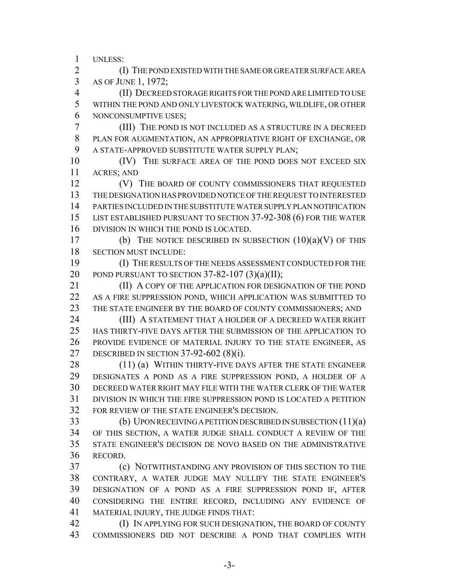UNLESS:

 (I) THE POND EXISTED WITH THE SAME OR GREATER SURFACE AREA AS OF JUNE 1, 1972;

 (II) DECREED STORAGE RIGHTS FOR THE POND ARE LIMITED TO USE WITHIN THE POND AND ONLY LIVESTOCK WATERING, WILDLIFE, OR OTHER NONCONSUMPTIVE USES;

 (III) THE POND IS NOT INCLUDED AS A STRUCTURE IN A DECREED PLAN FOR AUGMENTATION, AN APPROPRIATIVE RIGHT OF EXCHANGE, OR A STATE-APPROVED SUBSTITUTE WATER SUPPLY PLAN;

10 (IV) THE SURFACE AREA OF THE POND DOES NOT EXCEED SIX ACRES; AND

**(V)** THE BOARD OF COUNTY COMMISSIONERS THAT REQUESTED THE DESIGNATION HAS PROVIDED NOTICE OF THE REQUEST TO INTERESTED PARTIES INCLUDED IN THE SUBSTITUTE WATER SUPPLY PLAN NOTIFICATION LIST ESTABLISHED PURSUANT TO SECTION 37-92-308 (6) FOR THE WATER DIVISION IN WHICH THE POND IS LOCATED.

17 (b) THE NOTICE DESCRIBED IN SUBSECTION  $(10)(a)(V)$  OF THIS SECTION MUST INCLUDE:

 (I) THE RESULTS OF THE NEEDS ASSESSMENT CONDUCTED FOR THE 20 POND PURSUANT TO SECTION  $37-82-107$   $(3)(a)(II);$ 

 (II) A COPY OF THE APPLICATION FOR DESIGNATION OF THE POND AS A FIRE SUPPRESSION POND, WHICH APPLICATION WAS SUBMITTED TO 23 THE STATE ENGINEER BY THE BOARD OF COUNTY COMMISSIONERS; AND

**(III) A STATEMENT THAT A HOLDER OF A DECREED WATER RIGHT**  HAS THIRTY-FIVE DAYS AFTER THE SUBMISSION OF THE APPLICATION TO PROVIDE EVIDENCE OF MATERIAL INJURY TO THE STATE ENGINEER, AS DESCRIBED IN SECTION 37-92-602 (8)(i).

28 (11) (a) WITHIN THIRTY-FIVE DAYS AFTER THE STATE ENGINEER DESIGNATES A POND AS A FIRE SUPPRESSION POND, A HOLDER OF A DECREED WATER RIGHT MAY FILE WITH THE WATER CLERK OF THE WATER DIVISION IN WHICH THE FIRE SUPPRESSION POND IS LOCATED A PETITION FOR REVIEW OF THE STATE ENGINEER'S DECISION.

 (b) UPON RECEIVING A PETITION DESCRIBED IN SUBSECTION (11)(a) OF THIS SECTION, A WATER JUDGE SHALL CONDUCT A REVIEW OF THE STATE ENGINEER'S DECISION DE NOVO BASED ON THE ADMINISTRATIVE RECORD.

 (c) NOTWITHSTANDING ANY PROVISION OF THIS SECTION TO THE CONTRARY, A WATER JUDGE MAY NULLIFY THE STATE ENGINEER'S DESIGNATION OF A POND AS A FIRE SUPPRESSION POND IF, AFTER CONSIDERING THE ENTIRE RECORD, INCLUDING ANY EVIDENCE OF MATERIAL INJURY, THE JUDGE FINDS THAT:

**(I) IN APPLYING FOR SUCH DESIGNATION, THE BOARD OF COUNTY** COMMISSIONERS DID NOT DESCRIBE A POND THAT COMPLIES WITH